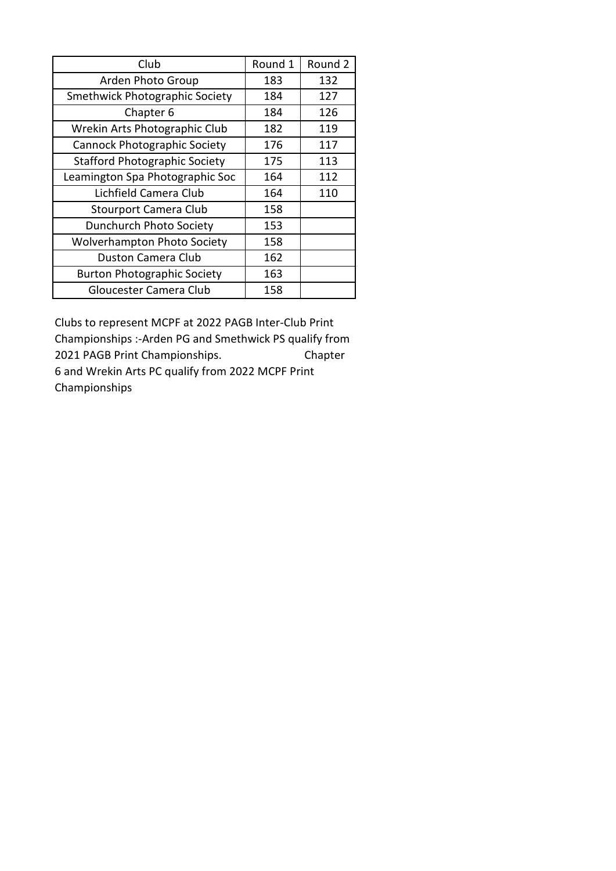| Club                                 | Round 1 | Round 2 |  |
|--------------------------------------|---------|---------|--|
| Arden Photo Group                    | 183     | 132     |  |
| Smethwick Photographic Society       | 184     | 127     |  |
| Chapter 6                            | 184     | 126     |  |
| Wrekin Arts Photographic Club        | 182     | 119     |  |
| <b>Cannock Photographic Society</b>  | 176     | 117     |  |
| <b>Stafford Photographic Society</b> | 175     | 113     |  |
| Leamington Spa Photographic Soc      | 164     | 112     |  |
| Lichfield Camera Club                | 164     | 110     |  |
| <b>Stourport Camera Club</b>         | 158     |         |  |
| Dunchurch Photo Society              | 153     |         |  |
| <b>Wolverhampton Photo Society</b>   | 158     |         |  |
| <b>Duston Camera Club</b>            | 162     |         |  |
| <b>Burton Photographic Society</b>   | 163     |         |  |
| Gloucester Camera Club               | 158     |         |  |

Clubs to represent MCPF at 2022 PAGB Inter-Club Print Championships :-Arden PG and Smethwick PS qualify from 2021 PAGB Print Championships. Chapter 6 and Wrekin Arts PC qualify from 2022 MCPF Print Championships